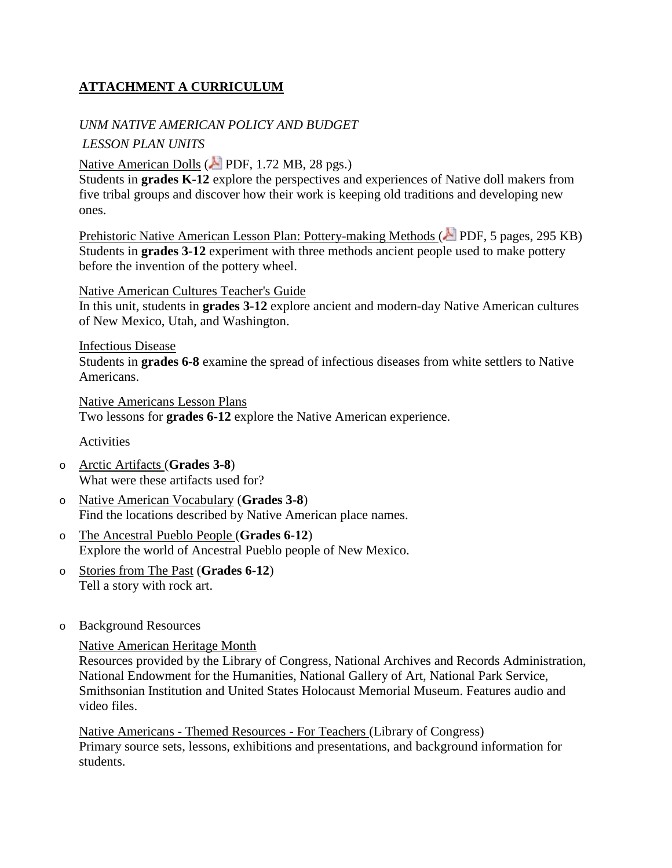# **ATTACHMENT A CURRICULUM**

### *UNM NATIVE AMERICAN POLICY AND BUDGET*

### *LESSON PLAN UNITS*

[Native American Dolls](https://learninglab.si.edu/cabinet/file/8d55fada-8235-4da4-81b9-f3950569241f/native_dolls.pdf) (**April PDF**, 1.72 MB, 28 pgs.)

Students in **grades K-12** explore the perspectives and experiences of Native doll makers from five tribal groups and discover how their work is keeping old traditions and developing new ones.

[Prehistoric Native American Lesson Plan: Pottery-making Methods](http://www.museum.state.il.us/muslink/pdfs/pna_pottery.pdf) ( $\triangle$  PDF, 5 pages, 295 KB) Students in **grades 3-12** experiment with three methods ancient people used to make pottery before the invention of the pottery wheel.

[Native American Cultures Teacher's Guide](http://www.scholastic.com/teachers/lesson-plan/native-american-cultures-teachers-guide)

In this unit, students in **grades 3-12** explore ancient and modern-day Native American cultures of New Mexico, Utah, and Washington.

[Infectious Disease](http://www.pbs.org/weta/thewest/lesson_plans/lesson09.htm) Students in **grades 6-8** examine the spread of infectious diseases from white settlers to Native Americans.

[Native Americans Lesson Plans](http://www.loc.gov/teachers/classroommaterials/themes/native-americans/lessonplans.html) Two lessons for **grades 6-12** explore the Native American experience.

**Activities** 

- o [Arctic Artifacts](http://www.webrangers.us/activities/artifact/) (**Grades 3-8**) What were these artifacts used for?
- o [Native American Vocabulary](http://www.loc.gov/teachers/classroommaterials/presentationsandactivities/presentations/immigration/native_american10.html) (**Grades 3-8**) Find the locations described by Native American place names.
- o [The Ancestral Pueblo People](http://www.webrangers.us/activities/bandelier/) (**Grades 6-12**) Explore the world of Ancestral Pueblo people of New Mexico.
- o [Stories from The Past](http://www.nps.gov/webrangers/activities/storiespast/) (**Grades 6-12**) Tell a story with rock art.
- o Background Resources

[Native American Heritage Month](http://nativeamericanheritagemonth.gov/)

Resources provided by the Library of Congress, National Archives and Records Administration, National Endowment for the Humanities, National Gallery of Art, National Park Service, Smithsonian Institution and United States Holocaust Memorial Museum. Features audio and video files.

Native Americans - [Themed Resources -](http://www.loc.gov/teachers/classroommaterials/themes/native-americans/) For Teachers (Library of Congress) Primary source sets, lessons, exhibitions and presentations, and background information for students.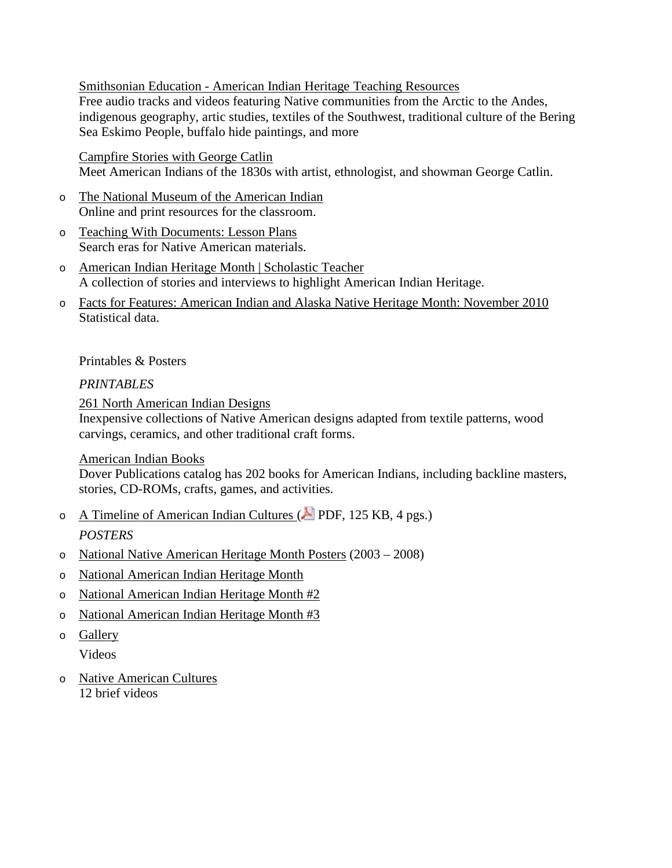Smithsonian Education - [American Indian Heritage Teaching Resources](http://www.smithsonianeducation.org/educators/resource_library/american_indian_resources.html) Free audio tracks and videos featuring Native communities from the Arctic to the Andes, indigenous geography, artic studies, textiles of the Southwest, traditional culture of the Bering Sea Eskimo People, buffalo hide paintings, and more

[Campfire Stories with George Catlin](http://americanart.si.edu/exhibitions/online/catlinclassroom/) Meet American Indians of the 1830s with artist, ethnologist, and showman George Catlin.

- o [The National Museum of the American Indian](http://www.nmai.si.edu/) Online and print resources for the classroom.
- o [Teaching With Documents: Lesson Plans](http://www.archives.gov/education/lessons/) Search eras for Native American materials.
- o [American Indian Heritage Month | Scholastic Teacher](http://www.scholastic.com/teachers/collection/american-indian-heritage-month) A collection of stories and interviews to highlight American Indian Heritage.
- o [Facts for Features: American Indian and Alaska Native Heritage Month: November 2010](https://www.census.gov/newsroom/facts-for-features/2016/cb16-ff22.html) Statistical data.

### Printables & Posters

### *PRINTABLES*

[261 North American Indian Designs](http://store.doverpublications.com/0486277186.html)

Inexpensive collections of Native American designs adapted from textile patterns, wood carvings, ceramics, and other traditional craft forms.

### [American Indian Books](http://doverpublications.ecomm-search.com/search?keywords=american%20indian)

Dover Publications catalog has 202 books for American Indians, including backline masters, stories, CD-ROMs, crafts, games, and activities.

- o [A Timeline of American Indian Cultures](http://www.ambrosevideo.com/resources/documents/American%20Indian%20Timeline%20for%20A%20History%20of%20American%20Indian%20Achievement.pdf) ( $\triangle$  PDF, 125 KB, 4 pgs.) *POSTERS*
- o [National Native American Heritage Month Posters](https://www2.usgs.gov/tribal/posters/index.html) (2003 2008)
- o [National American Indian Heritage Month](http://www.af.mil/News/Art/igphoto/2000311877/)
- o [National American Indian Heritage Month #2](http://www.af.mil/News/Art/igphoto/2000791567/)
- o [National American Indian Heritage Month #3](https://www.af.mil/News/Art/igphoto/2000408233/)
- o [Gallery](https://www.af.mil/News/Art/igsearch/Indian/)

Videos

o [Native American Cultures](https://www.history.com/topics/native-american-history/native-american-cultures) 12 brief videos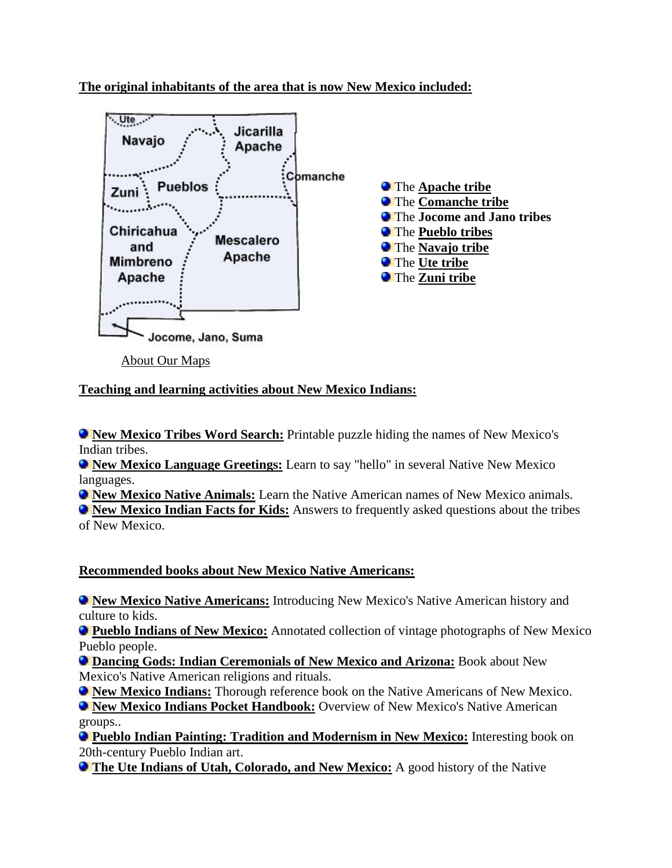**The original inhabitants of the area that is now New Mexico included:**



[About Our Maps](http://www.native-languages.org/maps.htm)

**Teaching and learning activities about New Mexico Indians:**

**ID [New Mexico Tribes Word Search:](http://www.native-languages.org/nmexico-wordsearch.htm)** Printable puzzle hiding the names of New Mexico's Indian tribes.

**[New Mexico Language Greetings:](http://www.native-languages.org/nmexico-greetings.htm)** Learn to say "hello" in several Native New Mexico languages.

**I. [New Mexico Native Animals:](http://www.native-languages.org/nmexico-animals.htm)** Learn the Native American names of New Mexico animals.

**IDER Mexico Indian Facts for Kids:** Answers to frequently asked questions about the tribes of New Mexico.

## **Recommended books about New Mexico Native Americans:**

**[New Mexico Native Americans:](http://www.amazon.com/exec/obidos/ASIN/0635023067/natilangofthe-20)** Introducing New Mexico's Native American history and culture to kids.

**[Pueblo Indians of New Mexico:](http://www.amazon.com/exec/obidos/ASIN/0738548367/natilangofthe-20)** Annotated collection of vintage photographs of New Mexico Pueblo people.

**[Dancing Gods: Indian Ceremonials of New Mexico and Arizona:](http://www.amazon.com/exec/obidos/ASIN/B000O6JFTW/natilangofthe-20)** Book about New Mexico's Native American religions and rituals.

**[New Mexico Indians:](http://www.amazon.com/exec/obidos/ASIN/040309772X/natilangofthe-20)** Thorough reference book on the Native Americans of New Mexico.

**[New Mexico Indians Pocket Handbook:](http://www.amazon.com/exec/obidos/ASIN/B0007EQRJM/natilangofthe-20)** Overview of New Mexico's Native American groups..

**[Pueblo Indian Painting: Tradition and Modernism in New Mexico:](http://www.amazon.com/exec/obidos/ASIN/0933452462/natilangofthe-20)** Interesting book on 20th-century Pueblo Indian art.

**[The Ute Indians of Utah, Colorado, and New Mexico:](http://www.amazon.com/exec/obidos/ASIN/0870816470/natilangofthe-20)** A good history of the Native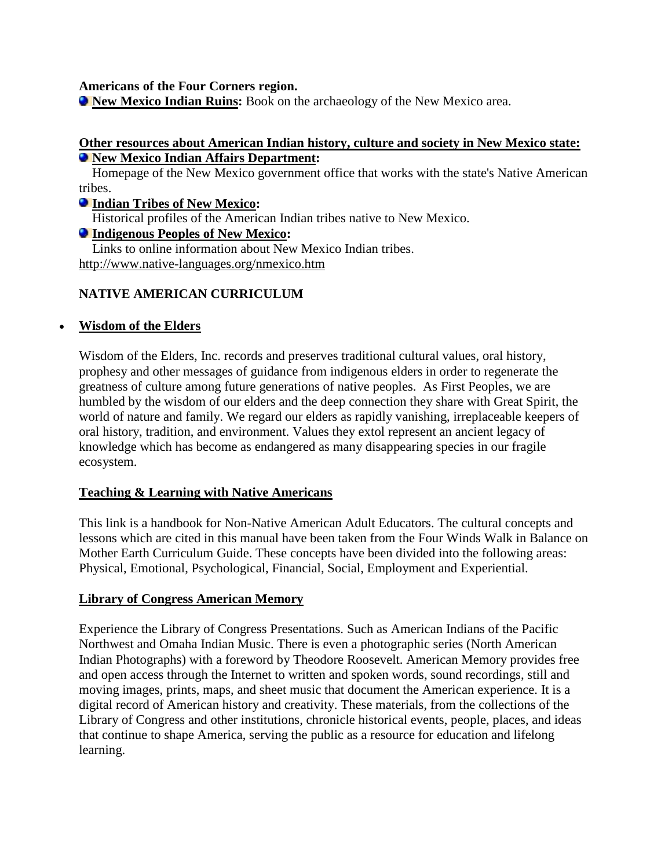**Americans of the Four Corners region.**

**[New Mexico Indian Ruins:](http://www.amazon.com/exec/obidos/ASIN/0963430998/natilangofthe-20)** Book on the archaeology of the New Mexico area.

### **Other resources about American Indian history, culture and society in New Mexico state: [New Mexico Indian Affairs Department:](http://www.iad.state.nm.us/)**

 Homepage of the New Mexico government office that works with the state's Native American tribes.

### **[Indian Tribes of New Mexico:](http://www.accessgenealogy.com/native/newmexico/index.htm)**

Historical profiles of the American Indian tribes native to New Mexico.

### **[Indigenous Peoples of New Mexico:](http://cybergata.com/native.htm)**

 Links to online information about New Mexico Indian tribes. <http://www.native-languages.org/nmexico.htm>

### **NATIVE AMERICAN CURRICULUM**

### • **[Wisdom of the Elders](http://wisdomoftheelders.org/)**

Wisdom of the Elders, Inc. records and preserves traditional cultural values, oral history, prophesy and other messages of guidance from indigenous elders in order to regenerate the greatness of culture among future generations of native peoples. As First Peoples, we are humbled by the wisdom of our elders and the deep connection they share with Great Spirit, the world of nature and family. We regard our elders as rapidly vanishing, irreplaceable keepers of oral history, tradition, and environment. Values they extol represent an ancient legacy of knowledge which has become as endangered as many disappearing species in our fragile ecosystem.

### **[Teaching & Learning with Native Americans](http://www.literacynet.org/lp/namericans/home.html)**

This link is a handbook for Non-Native American Adult Educators. The cultural concepts and lessons which are cited in this manual have been taken from the Four Winds Walk in Balance on Mother Earth Curriculum Guide. These concepts have been divided into the following areas: Physical, Emotional, Psychological, Financial, Social, Employment and Experiential.

### **[Library of Congress American Memory](http://www.memory.loc.gov/ammem/browse/updatedList.html)**

Experience the Library of Congress Presentations. Such as American Indians of the Pacific Northwest and Omaha Indian Music. There is even a photographic series (North American Indian Photographs) with a foreword by Theodore Roosevelt. American Memory provides free and open access through the Internet to written and spoken words, sound recordings, still and moving images, prints, maps, and sheet music that document the American experience. It is a digital record of American history and creativity. These materials, from the collections of the Library of Congress and other institutions, chronicle historical events, people, places, and ideas that continue to shape America, serving the public as a resource for education and lifelong learning.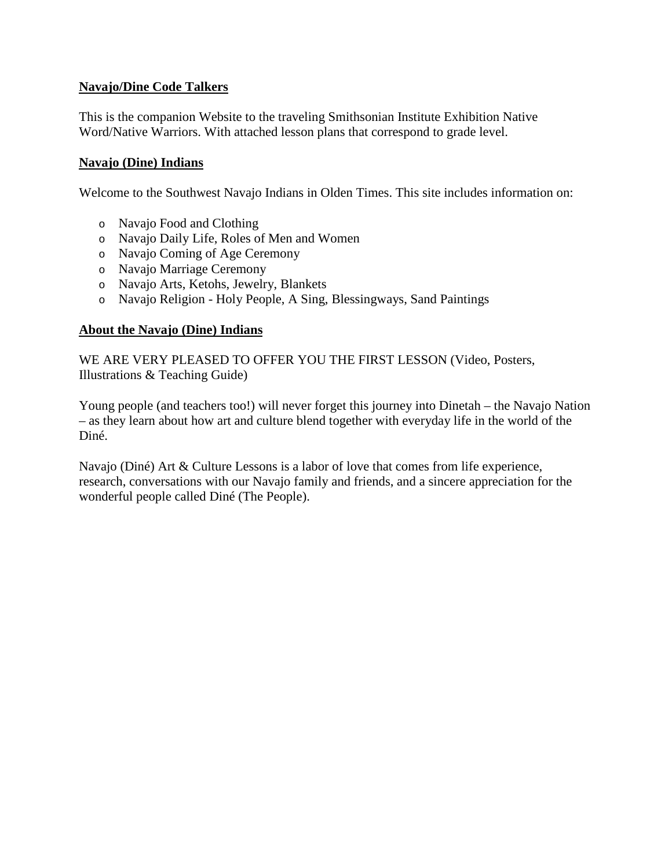### **[Navajo/Dine Code Talkers](http://nmai.si.edu/education/codetalkers/)**

This is the companion Website to the traveling Smithsonian Institute Exhibition Native Word/Native Warriors. With attached lesson plans that correspond to grade level.

### **[Navajo \(Dine\) Indians](http://www.gmstechcurriculum.weebly.com/navajo.html)**

Welcome to the Southwest Navajo Indians in Olden Times. This site includes information on:

- o Navajo Food and Clothing
- o Navajo Daily Life, Roles of Men and Women
- o Navajo Coming of Age Ceremony
- o Navajo Marriage Ceremony
- o Navajo Arts, Ketohs, Jewelry, Blankets
- o Navajo Religion Holy People, A Sing, Blessingways, Sand Paintings

### **[About the Navajo \(Dine\) Indians](http://www.creativeimpact.org/)**

WE ARE VERY PLEASED TO OFFER YOU THE FIRST LESSON (Video, Posters, Illustrations & Teaching Guide)

Young people (and teachers too!) will never forget this journey into Dinetah – the Navajo Nation – as they learn about how art and culture blend together with everyday life in the world of the Diné.

Navajo (Diné) Art & Culture Lessons is a labor of love that comes from life experience, research, conversations with our Navajo family and friends, and a sincere appreciation for the wonderful people called Diné (The People).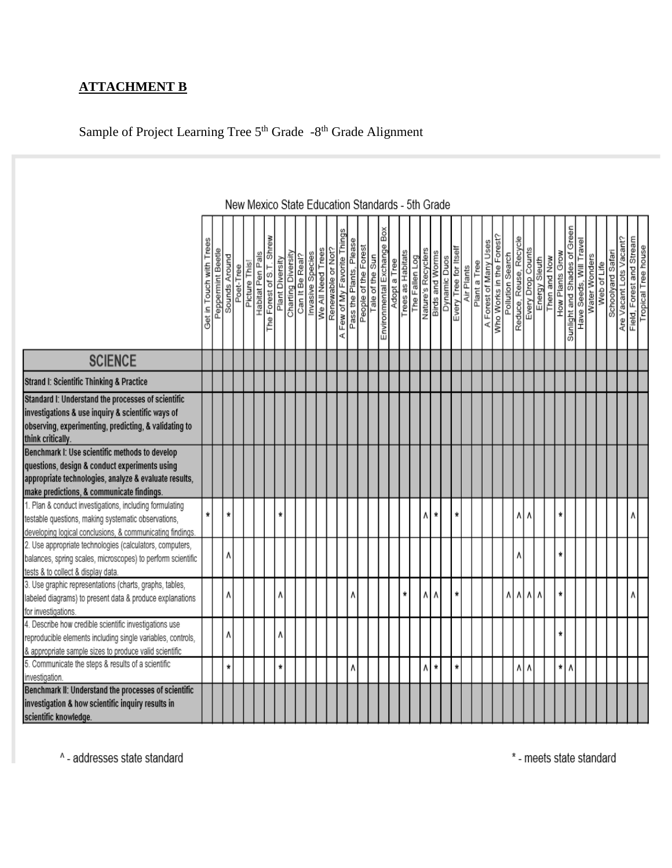# **ATTACHMENT B**

# Sample of Project Learning Tree 5<sup>th</sup> Grade -8<sup>th</sup> Grade Alignment

|                                                                                                                                                                                                       |                         |                   |               |           |              |                  |                          |                 |                    |                 |                  |                   |                   |                             |                                                          |                                               |              |                   |                |                    | New Mexico State Education Standards - 5th Grade |                       |            |              |                       |                          |                  |                        |                   |               |              |                 |                              |                         |               |             |                   |                         |                          |                     |
|-------------------------------------------------------------------------------------------------------------------------------------------------------------------------------------------------------|-------------------------|-------------------|---------------|-----------|--------------|------------------|--------------------------|-----------------|--------------------|-----------------|------------------|-------------------|-------------------|-----------------------------|----------------------------------------------------------|-----------------------------------------------|--------------|-------------------|----------------|--------------------|--------------------------------------------------|-----------------------|------------|--------------|-----------------------|--------------------------|------------------|------------------------|-------------------|---------------|--------------|-----------------|------------------------------|-------------------------|---------------|-------------|-------------------|-------------------------|--------------------------|---------------------|
|                                                                                                                                                                                                       | Get in Touch with Trees | Peppermint Beetle | Sounds Around | Poet-Tree | Picture This | Habitat Pen Pals | The Forest of S.T. Shrew | Plant Diversity | Charting Diversity | Can It Be Real? | Invasive Species | We All Need Trees | Renewable or Not? | A Few of My Favorite Things | Please<br>Pass the Plants, Pleas<br>People of the Forest | Tale of the Sun<br>Environmental Exchange Box | Adopt a Tree | Trees as Habitats | The Fallen Log | Nature's Recyclers | <b>Birds and Worms</b><br>Dynamic Duos           | Every Tree for Itsell | Air Plants | Plant a Tree | A Forest of Many Uses | Who Works in the Forest? | Pollution Search | Reduce, Reuse, Recycle | Every Drop Counts | Energy Sleuth | Then and Now | How Plants Grow | Sunlight and Shades of Green | Have Seeds, Will Travel | Water Wonders | Web of Life | Schoolyard Safari | Are Vacant Lots Vacant? | Field, Forest and Stream | Tropical Tree house |
| <b>SCIENCE</b>                                                                                                                                                                                        |                         |                   |               |           |              |                  |                          |                 |                    |                 |                  |                   |                   |                             |                                                          |                                               |              |                   |                |                    |                                                  |                       |            |              |                       |                          |                  |                        |                   |               |              |                 |                              |                         |               |             |                   |                         |                          |                     |
| Strand I: Scientific Thinking & Practice                                                                                                                                                              |                         |                   |               |           |              |                  |                          |                 |                    |                 |                  |                   |                   |                             |                                                          |                                               |              |                   |                |                    |                                                  |                       |            |              |                       |                          |                  |                        |                   |               |              |                 |                              |                         |               |             |                   |                         |                          |                     |
| Standard I: Understand the processes of scientific<br>investigations & use inquiry & scientific ways of<br>observing, experimenting, predicting, & validating to<br>think critically.                 |                         |                   |               |           |              |                  |                          |                 |                    |                 |                  |                   |                   |                             |                                                          |                                               |              |                   |                |                    |                                                  |                       |            |              |                       |                          |                  |                        |                   |               |              |                 |                              |                         |               |             |                   |                         |                          |                     |
| Benchmark I: Use scientific methods to develop<br>questions, design & conduct experiments using<br>appropriate technologies, analyze & evaluate results,<br>make predictions, & communicate findings. |                         |                   |               |           |              |                  |                          |                 |                    |                 |                  |                   |                   |                             |                                                          |                                               |              |                   |                |                    |                                                  |                       |            |              |                       |                          |                  |                        |                   |               |              |                 |                              |                         |               |             |                   |                         |                          |                     |
| 1. Plan & conduct investigations, including formulating<br>testable questions, making systematic observations,<br>developing logical conclusions, & communicating findings.                           | ₩                       |                   | *             |           |              |                  |                          | $\star$         |                    |                 |                  |                   |                   |                             |                                                          |                                               |              |                   |                | ٨                  | ×                                                | $\pmb{\ast}$          |            |              |                       |                          |                  | ۸                      | ٨                 |               |              | *               |                              |                         |               |             |                   |                         | Λ                        |                     |
| 2. Use appropriate technologies (calculators, computers,<br>balances, spring scales, microscopes) to perform scientific<br>tests & to collect & display data.                                         |                         |                   | ٨             |           |              |                  |                          |                 |                    |                 |                  |                   |                   |                             |                                                          |                                               |              |                   |                |                    |                                                  |                       |            |              |                       |                          |                  | ۸                      |                   |               |              | *               |                              |                         |               |             |                   |                         |                          |                     |
| 3. Use graphic representations (charts, graphs, tables,<br>labeled diagrams) to present data & produce explanations<br>for investigations.                                                            |                         |                   | ٨             |           |              |                  |                          | ٨               |                    |                 |                  |                   |                   |                             | ٨                                                        |                                               |              | ÷                 |                |                    | ٨                                                | ₩                     |            |              |                       |                          | ۸۱               | ٨                      | $\Lambda$         | ٨             |              | *               |                              |                         |               |             |                   |                         |                          |                     |
| 4. Describe how credible scientific investigations use<br>reproducible elements including single variables, controls,<br>& appropriate sample sizes to produce valid scientific                       |                         |                   | ۸             |           |              |                  |                          | ٨               |                    |                 |                  |                   |                   |                             |                                                          |                                               |              |                   |                |                    |                                                  |                       |            |              |                       |                          |                  |                        |                   |               |              | *               |                              |                         |               |             |                   |                         |                          |                     |
| 5. Communicate the steps & results of a scientific<br>investigation.                                                                                                                                  |                         |                   | *             |           |              |                  |                          | ₩               |                    |                 |                  |                   |                   |                             | ۷                                                        |                                               |              |                   |                | ٨                  | ₩                                                | ₩                     |            |              |                       |                          |                  | ۸                      | ٨                 |               |              | *               | ٨                            |                         |               |             |                   |                         |                          |                     |
| Benchmark II: Understand the processes of scientific<br>investigation & how scientific inquiry results in<br>scientific knowledge.                                                                    |                         |                   |               |           |              |                  |                          |                 |                    |                 |                  |                   |                   |                             |                                                          |                                               |              |                   |                |                    |                                                  |                       |            |              |                       |                          |                  |                        |                   |               |              |                 |                              |                         |               |             |                   |                         |                          |                     |

^- addresses state standard

\* - meets state standard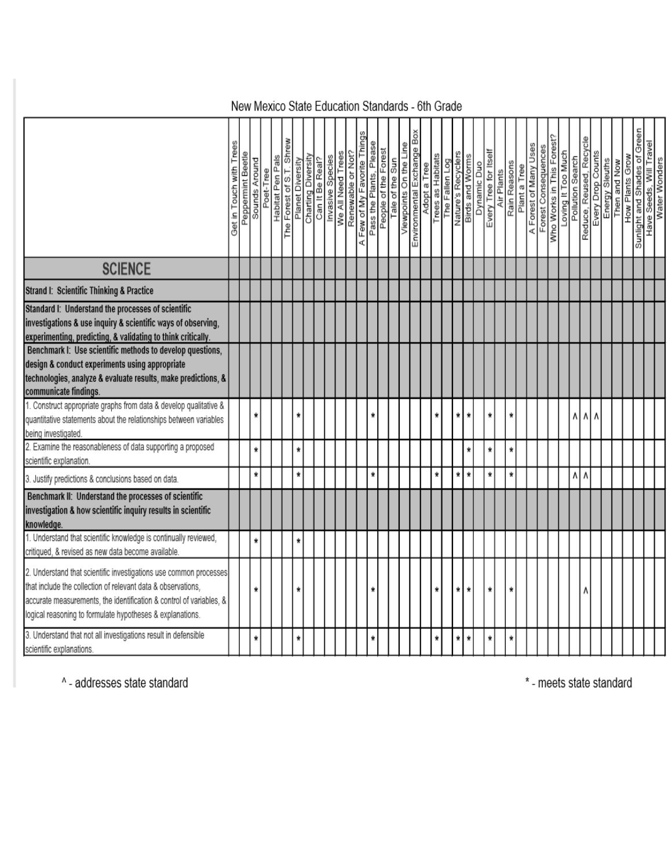# New Mexico State Education Standards - 6th Grade

|                                                                                                                                                                                                                                                                       | Get in Touch with Trees | Peppermint Beetle | Sounds Around | Poet-Tree | Habitat Pen Pals | Shrew<br>The Forest of S.T. | Planet Diversity | Charting Diversity<br>Can It Be Real? | Invasive Species | We All Need Trees | Renewable or Not? | Few of My Favorite Things<br>ď | Pass the Plants, Please | People of the Forest | Tale of the Sun | Viewpoints On the Line | Environmental Exchange Box | Adopt a Tree | Trees as Habitats<br>The Fallen Log | Nature's Recyclers | <b>Birds and Worms</b> | Dynamic Duo | Every Tree for Itself | Air Plants | Rain Reasons | Plant a Tree | A Forest of Many Uses | Forest Consequences | Who Works in This Forest? | Loving It Too Much | Pollution Search | Reduce, Reused, Recycle | Every Drop Counts | <b>MoN pue uau Liter</b> | Green<br>How Plants Grow<br>Sunlight and Shades of | Have Seeds, Will Travel | Water Wonders |
|-----------------------------------------------------------------------------------------------------------------------------------------------------------------------------------------------------------------------------------------------------------------------|-------------------------|-------------------|---------------|-----------|------------------|-----------------------------|------------------|---------------------------------------|------------------|-------------------|-------------------|--------------------------------|-------------------------|----------------------|-----------------|------------------------|----------------------------|--------------|-------------------------------------|--------------------|------------------------|-------------|-----------------------|------------|--------------|--------------|-----------------------|---------------------|---------------------------|--------------------|------------------|-------------------------|-------------------|--------------------------|----------------------------------------------------|-------------------------|---------------|
| <b>SCIENCE</b>                                                                                                                                                                                                                                                        |                         |                   |               |           |                  |                             |                  |                                       |                  |                   |                   |                                |                         |                      |                 |                        |                            |              |                                     |                    |                        |             |                       |            |              |              |                       |                     |                           |                    |                  |                         |                   |                          |                                                    |                         |               |
| Strand I: Scientific Thinking & Practice                                                                                                                                                                                                                              |                         |                   |               |           |                  |                             |                  |                                       |                  |                   |                   |                                |                         |                      |                 |                        |                            |              |                                     |                    |                        |             |                       |            |              |              |                       |                     |                           |                    |                  |                         |                   |                          |                                                    |                         |               |
| Standard I: Understand the processes of scientific<br>investigations & use inquiry & scientific ways of observing,<br>experimenting, predicting, & validating to think critically.                                                                                    |                         |                   |               |           |                  |                             |                  |                                       |                  |                   |                   |                                |                         |                      |                 |                        |                            |              |                                     |                    |                        |             |                       |            |              |              |                       |                     |                           |                    |                  |                         |                   |                          |                                                    |                         |               |
| Benchmark I: Use scientific methods to develop questions,<br>design & conduct experiments using appropriate<br>technologies, analyze & evaluate results, make predictions, &<br>communicate findings.                                                                 |                         |                   |               |           |                  |                             |                  |                                       |                  |                   |                   |                                |                         |                      |                 |                        |                            |              |                                     |                    |                        |             |                       |            |              |              |                       |                     |                           |                    |                  |                         |                   |                          |                                                    |                         |               |
| 1. Construct appropriate graphs from data & develop qualitative &<br>quantitative statements about the relationships between variables<br>being investigated.                                                                                                         |                         |                   | ×             |           |                  |                             | ₩                |                                       |                  |                   |                   |                                | ۸                       |                      |                 |                        |                            |              | ÷                                   | ₩                  | ₩                      |             | $\star$               |            | ×            |              |                       |                     |                           |                    | ٨                | ۸                       | ٨                 |                          |                                                    |                         |               |
| 2. Examine the reasonableness of data supporting a proposed<br>scientific explanation.                                                                                                                                                                                |                         |                   | $\star$       |           |                  |                             | ₩                |                                       |                  |                   |                   |                                |                         |                      |                 |                        |                            |              |                                     |                    |                        |             | $\star$               |            | $\pmb{\ast}$ |              |                       |                     |                           |                    |                  |                         |                   |                          |                                                    |                         |               |
| 3. Justify predictions & conclusions based on data.                                                                                                                                                                                                                   |                         |                   | $\star$       |           |                  |                             | ₩                |                                       |                  |                   |                   |                                | $\ast$                  |                      |                 |                        |                            |              | *                                   | $\star$            | $\star$                |             | $\star$               |            | $\star$      |              |                       |                     |                           |                    | 시시               |                         |                   |                          |                                                    |                         |               |
| Benchmark II: Understand the processes of scientific<br>investigation & how scientific inquiry results in scientific<br>knowledge.                                                                                                                                    |                         |                   |               |           |                  |                             |                  |                                       |                  |                   |                   |                                |                         |                      |                 |                        |                            |              |                                     |                    |                        |             |                       |            |              |              |                       |                     |                           |                    |                  |                         |                   |                          |                                                    |                         |               |
| 1. Understand that scientific knowledge is continually reviewed,<br>critiqued, & revised as new data become available.                                                                                                                                                |                         |                   | $\star$       |           |                  |                             | *                |                                       |                  |                   |                   |                                |                         |                      |                 |                        |                            |              |                                     |                    |                        |             |                       |            |              |              |                       |                     |                           |                    |                  |                         |                   |                          |                                                    |                         |               |
| 2. Understand that scientific investigations use common processes<br>that include the collection of relevant data & observations.<br>accurate measurements, the identification & control of variables, &<br>logical reasoning to formulate hypotheses & explanations. |                         |                   | ÷             |           |                  |                             | ₩                |                                       |                  |                   |                   |                                |                         |                      |                 |                        |                            |              | ۰                                   | ₩                  | ₩                      |             | ₩                     |            | ×            |              |                       |                     |                           |                    |                  |                         |                   |                          |                                                    |                         |               |
| 3. Understand that not all investigations result in defensible<br>scientific explanations.                                                                                                                                                                            |                         |                   | Ť             |           |                  |                             | ₩                |                                       |                  |                   |                   |                                | *                       |                      |                 |                        |                            |              | ÷                                   | ÷                  | ×                      |             | $\star$               |            | ź            |              |                       |                     |                           |                    |                  |                         |                   |                          |                                                    |                         |               |

^- addresses state standard

\* - meets state standard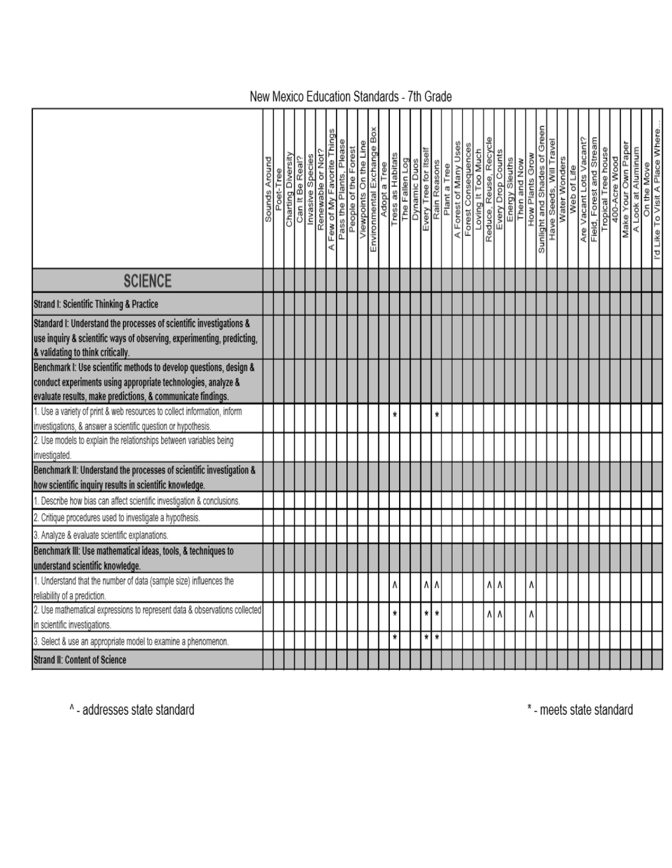|                                                                                                                                                                                                    | Sounds Around | Poet-Tree | Charting Diversity | Can It Be Real? | Renewable or Not?<br>Invasive Species | A Few of My Favorite Things | Pass the Plants, Pleas | People of the Forest | Viewpoints On the Line | Environmental Exchange Box | Adopt a Tree | Tress as Habitats | The Fallen Log | Dynamic Duos | Every Tree for Itsel<br>Rain Reasons | Plant a Tree | A Forest of Many Uses | Forest Consequences | Loving It Too Much | Reduce, Reuse, Recycle | Every Drop Counts | Energy Sleuths | Then and Now | How Plants Grow | Green<br>Sunlight and Shades of | Have Seeds, Will Travel<br>Water Wonders | Web of Life | Are Vacant Lots Vacant? | Field, Forest and Stream | Tropical Tree house | 400-Acre Wood | Make Your Own Paper | A Look at Aluminum | I'd Like To Visit A Place Where.<br>On the Move |
|----------------------------------------------------------------------------------------------------------------------------------------------------------------------------------------------------|---------------|-----------|--------------------|-----------------|---------------------------------------|-----------------------------|------------------------|----------------------|------------------------|----------------------------|--------------|-------------------|----------------|--------------|--------------------------------------|--------------|-----------------------|---------------------|--------------------|------------------------|-------------------|----------------|--------------|-----------------|---------------------------------|------------------------------------------|-------------|-------------------------|--------------------------|---------------------|---------------|---------------------|--------------------|-------------------------------------------------|
|                                                                                                                                                                                                    |               |           |                    |                 |                                       |                             |                        |                      |                        |                            |              |                   |                |              |                                      |              |                       |                     |                    |                        |                   |                |              |                 |                                 |                                          |             |                         |                          |                     |               |                     |                    |                                                 |
| <b>SCIENCE</b>                                                                                                                                                                                     |               |           |                    |                 |                                       |                             |                        |                      |                        |                            |              |                   |                |              |                                      |              |                       |                     |                    |                        |                   |                |              |                 |                                 |                                          |             |                         |                          |                     |               |                     |                    |                                                 |
| Strand I: Scientific Thinking & Practice                                                                                                                                                           |               |           |                    |                 |                                       |                             |                        |                      |                        |                            |              |                   |                |              |                                      |              |                       |                     |                    |                        |                   |                |              |                 |                                 |                                          |             |                         |                          |                     |               |                     |                    |                                                 |
| Standard I: Understand the processes of scientific investigations &<br>use inquiry & scientific ways of observing, experimenting, predicting,<br>& validating to think critically.                 |               |           |                    |                 |                                       |                             |                        |                      |                        |                            |              |                   |                |              |                                      |              |                       |                     |                    |                        |                   |                |              |                 |                                 |                                          |             |                         |                          |                     |               |                     |                    |                                                 |
| Benchmark I: Use scientific methods to develop questions, design &<br>conduct experiments using appropriate technologies, analyze &<br>evaluate results, make predictions, & communicate findings. |               |           |                    |                 |                                       |                             |                        |                      |                        |                            |              |                   |                |              |                                      |              |                       |                     |                    |                        |                   |                |              |                 |                                 |                                          |             |                         |                          |                     |               |                     |                    |                                                 |
| 1. Use a variety of print & web resources to collect information, inform                                                                                                                           |               |           |                    |                 |                                       |                             |                        |                      |                        |                            |              | ×                 |                |              |                                      | ¥            |                       |                     |                    |                        |                   |                |              |                 |                                 |                                          |             |                         |                          |                     |               |                     |                    |                                                 |
| investigations, & answer a scientific question or hypothesis.<br>2. Use models to explain the relationships between variables being<br>investigated.                                               |               |           |                    |                 |                                       |                             |                        |                      |                        |                            |              |                   |                |              |                                      |              |                       |                     |                    |                        |                   |                |              |                 |                                 |                                          |             |                         |                          |                     |               |                     |                    |                                                 |
| Benchmark II: Understand the processes of scientific investigation &<br>how scientific inquiry results in scientific knowledge.                                                                    |               |           |                    |                 |                                       |                             |                        |                      |                        |                            |              |                   |                |              |                                      |              |                       |                     |                    |                        |                   |                |              |                 |                                 |                                          |             |                         |                          |                     |               |                     |                    |                                                 |
| Describe how bias can affect scientific investigation & conclusions.                                                                                                                               |               |           |                    |                 |                                       |                             |                        |                      |                        |                            |              |                   |                |              |                                      |              |                       |                     |                    |                        |                   |                |              |                 |                                 |                                          |             |                         |                          |                     |               |                     |                    |                                                 |
| 2. Critique procedures used to investigate a hypothesis.                                                                                                                                           |               |           |                    |                 |                                       |                             |                        |                      |                        |                            |              |                   |                |              |                                      |              |                       |                     |                    |                        |                   |                |              |                 |                                 |                                          |             |                         |                          |                     |               |                     |                    |                                                 |
| 3. Analyze & evaluate scientific explanations.<br>Benchmark III: Use mathematical ideas, tools, & techniques to                                                                                    |               |           |                    |                 |                                       |                             |                        |                      |                        |                            |              |                   |                |              |                                      |              |                       |                     |                    |                        |                   |                |              |                 |                                 |                                          |             |                         |                          |                     |               |                     |                    |                                                 |
| understand scientific knowledge.                                                                                                                                                                   |               |           |                    |                 |                                       |                             |                        |                      |                        |                            |              |                   |                |              |                                      |              |                       |                     |                    |                        |                   |                |              |                 |                                 |                                          |             |                         |                          |                     |               |                     |                    |                                                 |
| 1. Understand that the number of data (sample size) influences the<br>reliability of a prediction.                                                                                                 |               |           |                    |                 |                                       |                             |                        |                      |                        |                            |              | ٨                 |                |              | ۸Ι۸                                  |              |                       |                     |                    | ۸I۸                    |                   |                |              | ٨               |                                 |                                          |             |                         |                          |                     |               |                     |                    |                                                 |
| 2. Use mathematical expressions to represent data & observations collected                                                                                                                         |               |           |                    |                 |                                       |                             |                        |                      |                        |                            |              | ÷                 |                |              | ¥                                    | ¥            |                       |                     |                    | 시시                     |                   |                |              | ٨               |                                 |                                          |             |                         |                          |                     |               |                     |                    |                                                 |
| in scientific investigations.                                                                                                                                                                      |               |           |                    |                 |                                       |                             |                        |                      |                        |                            |              | ₩                 |                |              | * *                                  |              |                       |                     |                    |                        |                   |                |              |                 |                                 |                                          |             |                         |                          |                     |               |                     |                    |                                                 |
| 3. Select & use an appropriate model to examine a phenomenon.                                                                                                                                      |               |           |                    |                 |                                       |                             |                        |                      |                        |                            |              |                   |                |              |                                      |              |                       |                     |                    |                        |                   |                |              |                 |                                 |                                          |             |                         |                          |                     |               |                     |                    |                                                 |
| Strand II: Content of Science                                                                                                                                                                      |               |           |                    |                 |                                       |                             |                        |                      |                        |                            |              |                   |                |              |                                      |              |                       |                     |                    |                        |                   |                |              |                 |                                 |                                          |             |                         |                          |                     |               |                     |                    |                                                 |

^- addresses state standard

\* - meets state standard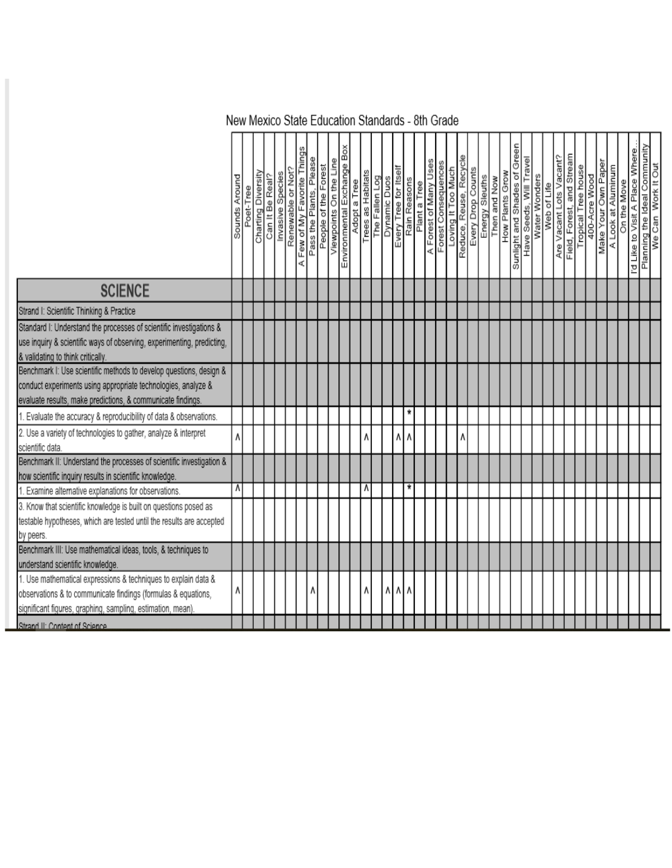# New Mexico State Education Standards - 8th Grade

|                                                                                                                                                                                                    | Sounds Around | Poet-Tree | Charting Diversity | Can It Be Real? | Invasive Species | Renewable or Not? | A Few of My Favorite Things | Pass the Plants, Please | People of the Forest | Viewpoints On the Line | ă<br>Environmental Exchange | Adopt a Tree | Trees as Habitats | The Fallen Log | Dynamic Duos | Every Tree for Itsel | Rain Reasons | Plant a Tree | A Forest of Many Uses<br>Forest Consequences | Loving It Too Much | Reduce, Reuse, Recyc | Every Drop Counts | Energy Sleuths<br>Then and Now | How Plants Grow | Sunlight and Shades of Green | Have Seeds, Will Travel | Water Wonders | Web of Life | Are Vacant Lots Vacant? | Field, Forest, and Stream | Tropical Tree house | 400-Acre Wood | Make Your Own Paper | A Look at Aluminum | On the Move | I'd Like to Visit A Place Where | Planning the Ideal Community<br>We Can_Work It Out |
|----------------------------------------------------------------------------------------------------------------------------------------------------------------------------------------------------|---------------|-----------|--------------------|-----------------|------------------|-------------------|-----------------------------|-------------------------|----------------------|------------------------|-----------------------------|--------------|-------------------|----------------|--------------|----------------------|--------------|--------------|----------------------------------------------|--------------------|----------------------|-------------------|--------------------------------|-----------------|------------------------------|-------------------------|---------------|-------------|-------------------------|---------------------------|---------------------|---------------|---------------------|--------------------|-------------|---------------------------------|----------------------------------------------------|
|                                                                                                                                                                                                    |               |           |                    |                 |                  |                   |                             |                         |                      |                        |                             |              |                   |                |              |                      |              |              |                                              |                    |                      |                   |                                |                 |                              |                         |               |             |                         |                           |                     |               |                     |                    |             |                                 |                                                    |
| <b>SCIENCE</b>                                                                                                                                                                                     |               |           |                    |                 |                  |                   |                             |                         |                      |                        |                             |              |                   |                |              |                      |              |              |                                              |                    |                      |                   |                                |                 |                              |                         |               |             |                         |                           |                     |               |                     |                    |             |                                 |                                                    |
| Strand I: Scientific Thinking & Practice                                                                                                                                                           |               |           |                    |                 |                  |                   |                             |                         |                      |                        |                             |              |                   |                |              |                      |              |              |                                              |                    |                      |                   |                                |                 |                              |                         |               |             |                         |                           |                     |               |                     |                    |             |                                 |                                                    |
| Standard I: Understand the processes of scientific investigations &<br>use inquiry & scientific ways of observing, experimenting, predicting,<br>& validating to think critically.                 |               |           |                    |                 |                  |                   |                             |                         |                      |                        |                             |              |                   |                |              |                      |              |              |                                              |                    |                      |                   |                                |                 |                              |                         |               |             |                         |                           |                     |               |                     |                    |             |                                 |                                                    |
| Benchmark I: Use scientific methods to develop questions, design &<br>conduct experiments using appropriate technologies, analyze &<br>evaluate results, make predictions, & communicate findings. |               |           |                    |                 |                  |                   |                             |                         |                      |                        |                             |              |                   |                |              |                      |              |              |                                              |                    |                      |                   |                                |                 |                              |                         |               |             |                         |                           |                     |               |                     |                    |             |                                 |                                                    |
| . Evaluate the accuracy & reproducibility of data & observations.                                                                                                                                  |               |           |                    |                 |                  |                   |                             |                         |                      |                        |                             |              |                   |                |              |                      | ₩            |              |                                              |                    |                      |                   |                                |                 |                              |                         |               |             |                         |                           |                     |               |                     |                    |             |                                 |                                                    |
| 2. Use a variety of technologies to gather, analyze & interpret<br>scientific data.                                                                                                                | ٨             |           |                    |                 |                  |                   |                             |                         |                      |                        |                             |              |                   |                |              | ٨                    | Λ            |              |                                              |                    | ٨                    |                   |                                |                 |                              |                         |               |             |                         |                           |                     |               |                     |                    |             |                                 |                                                    |
| Benchmark II: Understand the processes of scientific investigation &<br>how scientific inquiry results in scientific knowledge.                                                                    |               |           |                    |                 |                  |                   |                             |                         |                      |                        |                             |              |                   |                |              |                      |              |              |                                              |                    |                      |                   |                                |                 |                              |                         |               |             |                         |                           |                     |               |                     |                    |             |                                 |                                                    |
| Examine alternative explanations for observations.                                                                                                                                                 | ٨             |           |                    |                 |                  |                   |                             |                         |                      |                        |                             |              | ٨                 |                |              |                      | $\star$      |              |                                              |                    |                      |                   |                                |                 |                              |                         |               |             |                         |                           |                     |               |                     |                    |             |                                 |                                                    |
| 3. Know that scientific knowledge is built on questions posed as<br>testable hypotheses, which are tested until the results are accepted<br>by peers.                                              |               |           |                    |                 |                  |                   |                             |                         |                      |                        |                             |              |                   |                |              |                      |              |              |                                              |                    |                      |                   |                                |                 |                              |                         |               |             |                         |                           |                     |               |                     |                    |             |                                 |                                                    |
| Benchmark III: Use mathematical ideas, tools, & techniques to                                                                                                                                      |               |           |                    |                 |                  |                   |                             |                         |                      |                        |                             |              |                   |                |              |                      |              |              |                                              |                    |                      |                   |                                |                 |                              |                         |               |             |                         |                           |                     |               |                     |                    |             |                                 |                                                    |
| understand scientific knowledge.<br>. Use mathematical expressions & techniques to explain data &                                                                                                  |               |           |                    |                 |                  |                   |                             |                         |                      |                        |                             |              |                   |                |              |                      |              |              |                                              |                    |                      |                   |                                |                 |                              |                         |               |             |                         |                           |                     |               |                     |                    |             |                                 |                                                    |
| observations & to communicate findings (formulas & equations,<br>significant figures, graphing, sampling, estimation, mean).                                                                       | ٨             |           |                    |                 |                  |                   |                             | ۸                       |                      |                        |                             |              |                   |                | ٨            | ٨                    | ٨            |              |                                              |                    |                      |                   |                                |                 |                              |                         |               |             |                         |                           |                     |               |                     |                    |             |                                 |                                                    |
| Strand II: Content of Science                                                                                                                                                                      |               |           |                    |                 |                  |                   |                             |                         |                      |                        |                             |              |                   |                |              |                      |              |              |                                              |                    |                      |                   |                                |                 |                              |                         |               |             |                         |                           |                     |               |                     |                    |             |                                 |                                                    |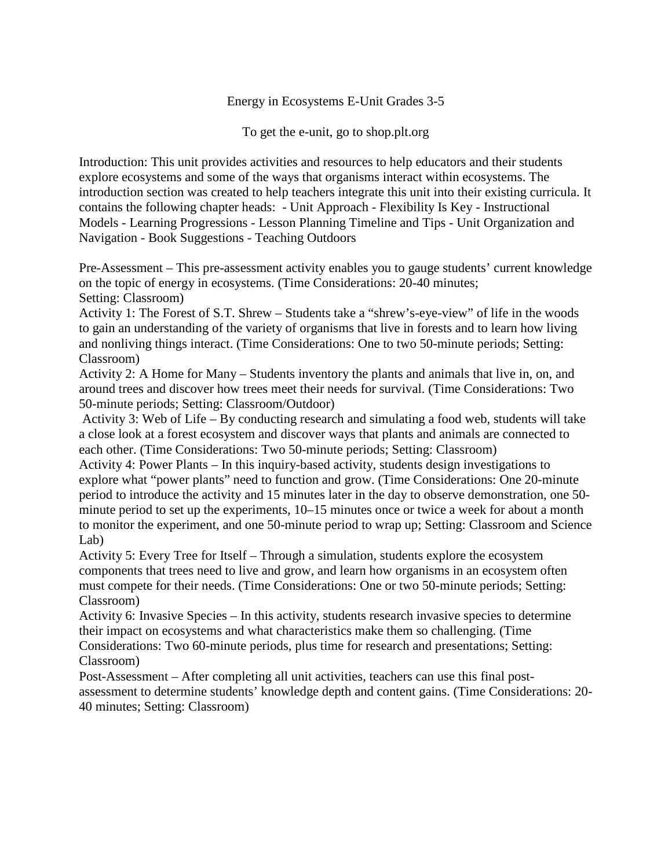### Energy in Ecosystems E-Unit Grades 3-5

To get the e-unit, go to shop.plt.org

Introduction: This unit provides activities and resources to help educators and their students explore ecosystems and some of the ways that organisms interact within ecosystems. The introduction section was created to help teachers integrate this unit into their existing curricula. It contains the following chapter heads: - Unit Approach - Flexibility Is Key - Instructional Models - Learning Progressions - Lesson Planning Timeline and Tips - Unit Organization and Navigation - Book Suggestions - Teaching Outdoors

Pre-Assessment – This pre-assessment activity enables you to gauge students' current knowledge on the topic of energy in ecosystems. (Time Considerations: 20-40 minutes; Setting: Classroom)

Activity 1: The Forest of S.T. Shrew – Students take a "shrew's-eye-view" of life in the woods to gain an understanding of the variety of organisms that live in forests and to learn how living and nonliving things interact. (Time Considerations: One to two 50-minute periods; Setting: Classroom)

Activity 2: A Home for Many – Students inventory the plants and animals that live in, on, and around trees and discover how trees meet their needs for survival. (Time Considerations: Two 50-minute periods; Setting: Classroom/Outdoor)

Activity 3: Web of Life – By conducting research and simulating a food web, students will take a close look at a forest ecosystem and discover ways that plants and animals are connected to each other. (Time Considerations: Two 50-minute periods; Setting: Classroom)

Activity 4: Power Plants – In this inquiry-based activity, students design investigations to explore what "power plants" need to function and grow. (Time Considerations: One 20-minute period to introduce the activity and 15 minutes later in the day to observe demonstration, one 50 minute period to set up the experiments, 10–15 minutes once or twice a week for about a month to monitor the experiment, and one 50-minute period to wrap up; Setting: Classroom and Science Lab)

Activity 5: Every Tree for Itself – Through a simulation, students explore the ecosystem components that trees need to live and grow, and learn how organisms in an ecosystem often must compete for their needs. (Time Considerations: One or two 50-minute periods; Setting: Classroom)

Activity 6: Invasive Species – In this activity, students research invasive species to determine their impact on ecosystems and what characteristics make them so challenging. (Time Considerations: Two 60-minute periods, plus time for research and presentations; Setting:

Classroom)

Post-Assessment – After completing all unit activities, teachers can use this final postassessment to determine students' knowledge depth and content gains. (Time Considerations: 20- 40 minutes; Setting: Classroom)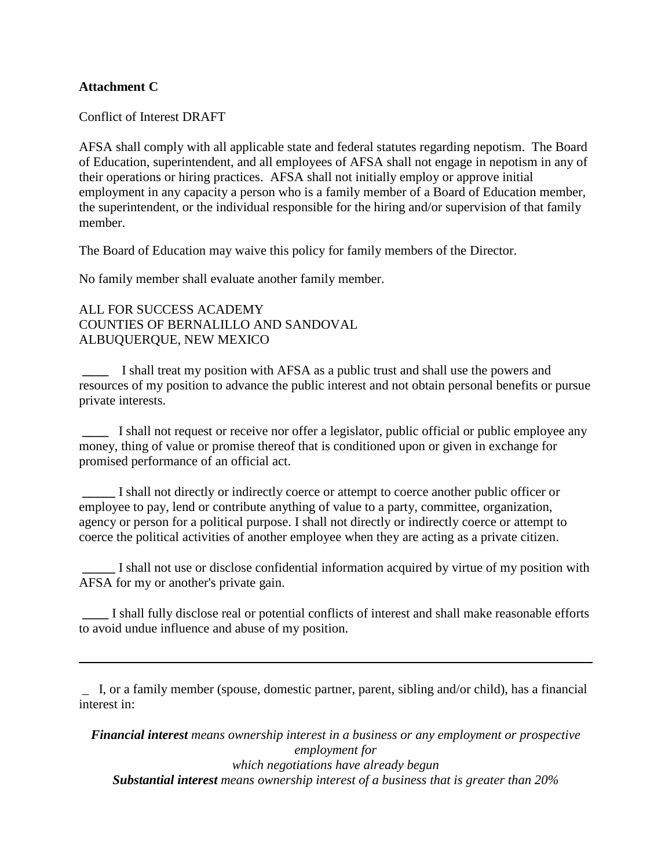### **Attachment C**

Conflict of Interest DRAFT

AFSA shall comply with all applicable state and federal statutes regarding nepotism. The Board of Education, superintendent, and all employees of AFSA shall not engage in nepotism in any of their operations or hiring practices. AFSA shall not initially employ or approve initial employment in any capacity a person who is a family member of a Board of Education member, the superintendent, or the individual responsible for the hiring and/or supervision of that family member.

The Board of Education may waive this policy for family members of the Director.

No family member shall evaluate another family member.

ALL FOR SUCCESS ACADEMY COUNTIES OF BERNALILLO AND SANDOVAL ALBUQUERQUE, NEW MEXICO

**\_\_\_\_** I shall treat my position with AFSA as a public trust and shall use the powers and resources of my position to advance the public interest and not obtain personal benefits or pursue private interests.

**\_\_\_\_** I shall not request or receive nor offer a legislator, public official or public employee any money, thing of value or promise thereof that is conditioned upon or given in exchange for promised performance of an official act.

**\_\_\_\_\_** I shall not directly or indirectly coerce or attempt to coerce another public officer or employee to pay, lend or contribute anything of value to a party, committee, organization, agency or person for a political purpose. I shall not directly or indirectly coerce or attempt to coerce the political activities of another employee when they are acting as a private citizen.

**\_\_\_\_\_** I shall not use or disclose confidential information acquired by virtue of my position with AFSA for my or another's private gain.

**\_\_\_\_** I shall fully disclose real or potential conflicts of interest and shall make reasonable efforts to avoid undue influence and abuse of my position.

\_ I, or a family member (spouse, domestic partner, parent, sibling and/or child), has a financial interest in:

*Financial interest means ownership interest in a business or any employment or prospective employment for which negotiations have already begun Substantial interest means ownership interest of a business that is greater than 20%*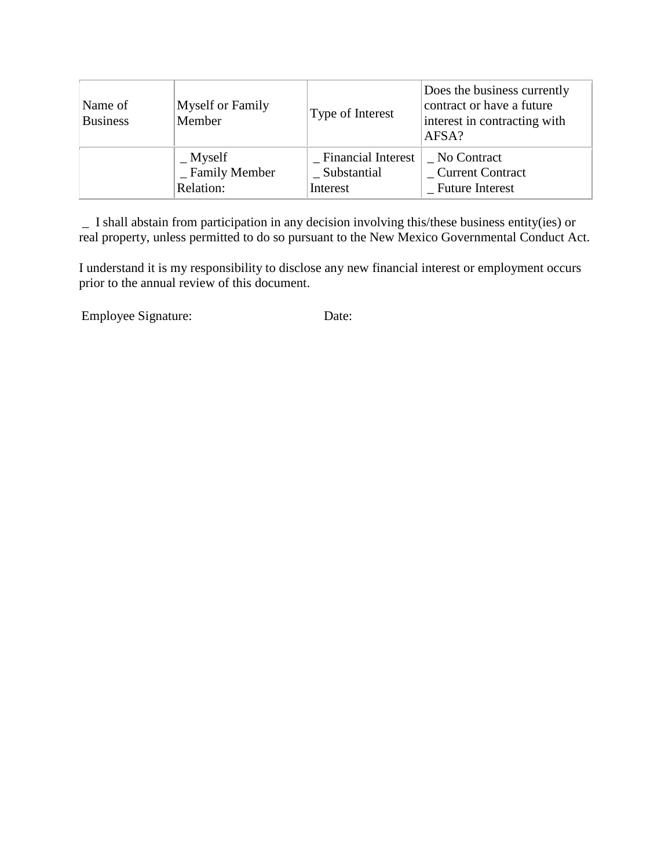| Name of<br><b>Business</b> | Myself or Family<br>Member | Type of Interest     | Does the business currently<br>contract or have a future<br>interest in contracting with<br>AFSA? |
|----------------------------|----------------------------|----------------------|---------------------------------------------------------------------------------------------------|
|                            | $\mathbf{M}$ yself         | - Financial Interest | No Contract                                                                                       |
|                            | _ Family Member            | _Substantial         | _ Current Contract                                                                                |
|                            | Relation:                  | Interest             | <b>Future Interest</b>                                                                            |

\_ I shall abstain from participation in any decision involving this/these business entity(ies) or real property, unless permitted to do so pursuant to the New Mexico Governmental Conduct Act.

I understand it is my responsibility to disclose any new financial interest or employment occurs prior to the annual review of this document.

Employee Signature: Date: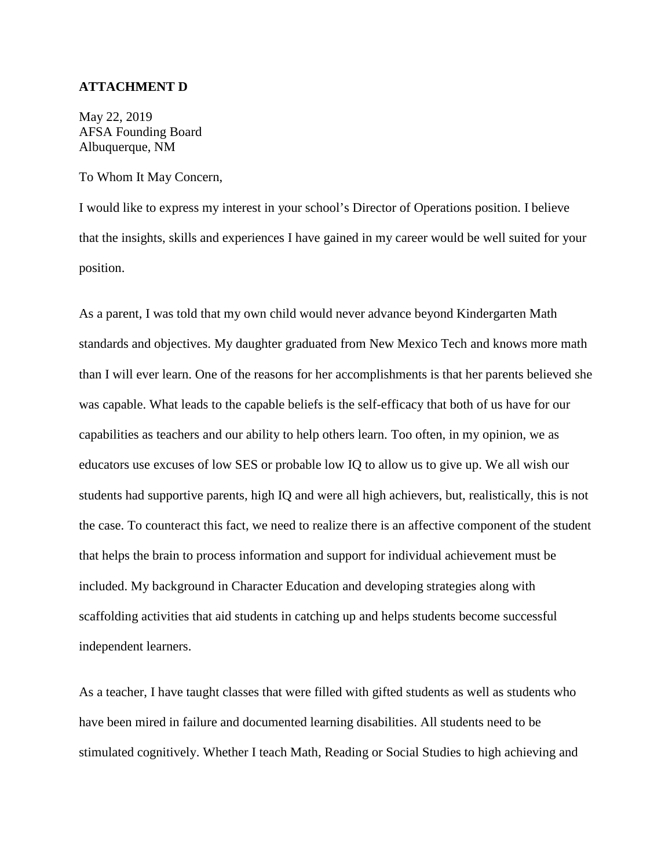#### **ATTACHMENT D**

May 22, 2019 AFSA Founding Board Albuquerque, NM

To Whom It May Concern,

I would like to express my interest in your school's Director of Operations position. I believe that the insights, skills and experiences I have gained in my career would be well suited for your position.

As a parent, I was told that my own child would never advance beyond Kindergarten Math standards and objectives. My daughter graduated from New Mexico Tech and knows more math than I will ever learn. One of the reasons for her accomplishments is that her parents believed she was capable. What leads to the capable beliefs is the self-efficacy that both of us have for our capabilities as teachers and our ability to help others learn. Too often, in my opinion, we as educators use excuses of low SES or probable low IQ to allow us to give up. We all wish our students had supportive parents, high IQ and were all high achievers, but, realistically, this is not the case. To counteract this fact, we need to realize there is an affective component of the student that helps the brain to process information and support for individual achievement must be included. My background in Character Education and developing strategies along with scaffolding activities that aid students in catching up and helps students become successful independent learners.

As a teacher, I have taught classes that were filled with gifted students as well as students who have been mired in failure and documented learning disabilities. All students need to be stimulated cognitively. Whether I teach Math, Reading or Social Studies to high achieving and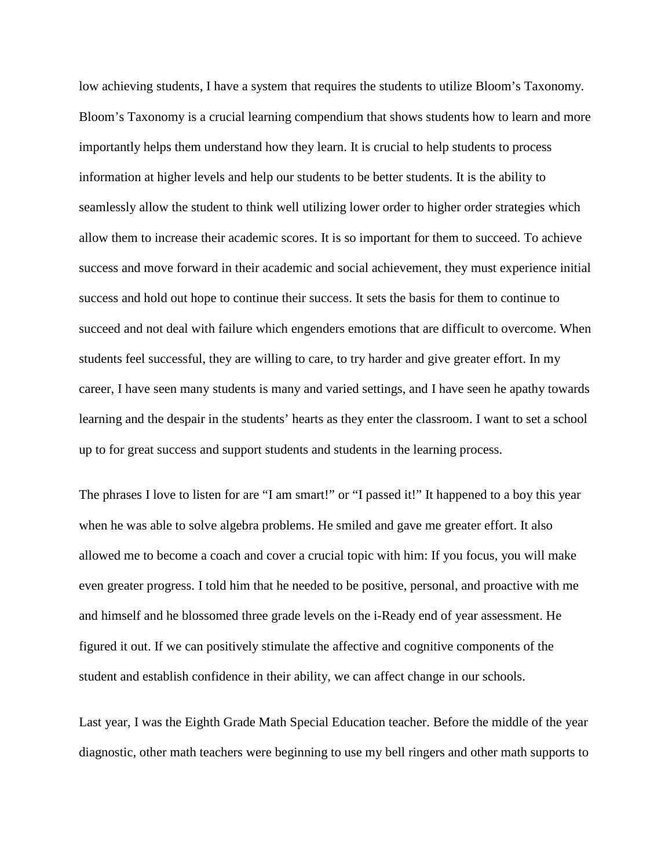low achieving students, I have a system that requires the students to utilize Bloom's Taxonomy. Bloom's Taxonomy is a crucial learning compendium that shows students how to learn and more importantly helps them understand how they learn. It is crucial to help students to process information at higher levels and help our students to be better students. It is the ability to seamlessly allow the student to think well utilizing lower order to higher order strategies which allow them to increase their academic scores. It is so important for them to succeed. To achieve success and move forward in their academic and social achievement, they must experience initial success and hold out hope to continue their success. It sets the basis for them to continue to succeed and not deal with failure which engenders emotions that are difficult to overcome. When students feel successful, they are willing to care, to try harder and give greater effort. In my career, I have seen many students is many and varied settings, and I have seen he apathy towards learning and the despair in the students' hearts as they enter the classroom. I want to set a school up to for great success and support students and students in the learning process.

The phrases I love to listen for are "I am smart!" or "I passed it!" It happened to a boy this year when he was able to solve algebra problems. He smiled and gave me greater effort. It also allowed me to become a coach and cover a crucial topic with him: If you focus, you will make even greater progress. I told him that he needed to be positive, personal, and proactive with me and himself and he blossomed three grade levels on the i-Ready end of year assessment. He figured it out. If we can positively stimulate the affective and cognitive components of the student and establish confidence in their ability, we can affect change in our schools.

Last year, I was the Eighth Grade Math Special Education teacher. Before the middle of the year diagnostic, other math teachers were beginning to use my bell ringers and other math supports to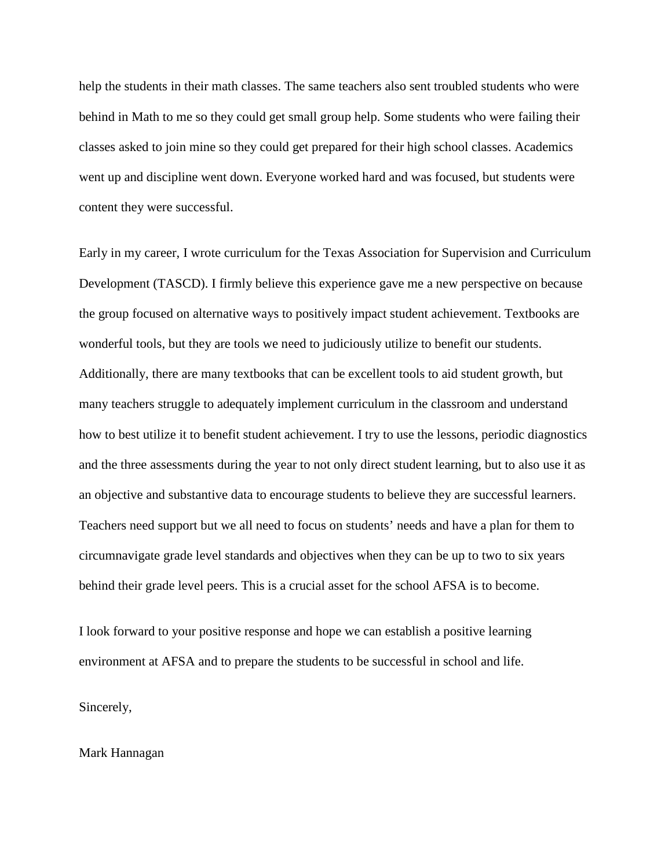help the students in their math classes. The same teachers also sent troubled students who were behind in Math to me so they could get small group help. Some students who were failing their classes asked to join mine so they could get prepared for their high school classes. Academics went up and discipline went down. Everyone worked hard and was focused, but students were content they were successful.

Early in my career, I wrote curriculum for the Texas Association for Supervision and Curriculum Development (TASCD). I firmly believe this experience gave me a new perspective on because the group focused on alternative ways to positively impact student achievement. Textbooks are wonderful tools, but they are tools we need to judiciously utilize to benefit our students. Additionally, there are many textbooks that can be excellent tools to aid student growth, but many teachers struggle to adequately implement curriculum in the classroom and understand how to best utilize it to benefit student achievement. I try to use the lessons, periodic diagnostics and the three assessments during the year to not only direct student learning, but to also use it as an objective and substantive data to encourage students to believe they are successful learners. Teachers need support but we all need to focus on students' needs and have a plan for them to circumnavigate grade level standards and objectives when they can be up to two to six years behind their grade level peers. This is a crucial asset for the school AFSA is to become.

I look forward to your positive response and hope we can establish a positive learning environment at AFSA and to prepare the students to be successful in school and life.

Sincerely,

#### Mark Hannagan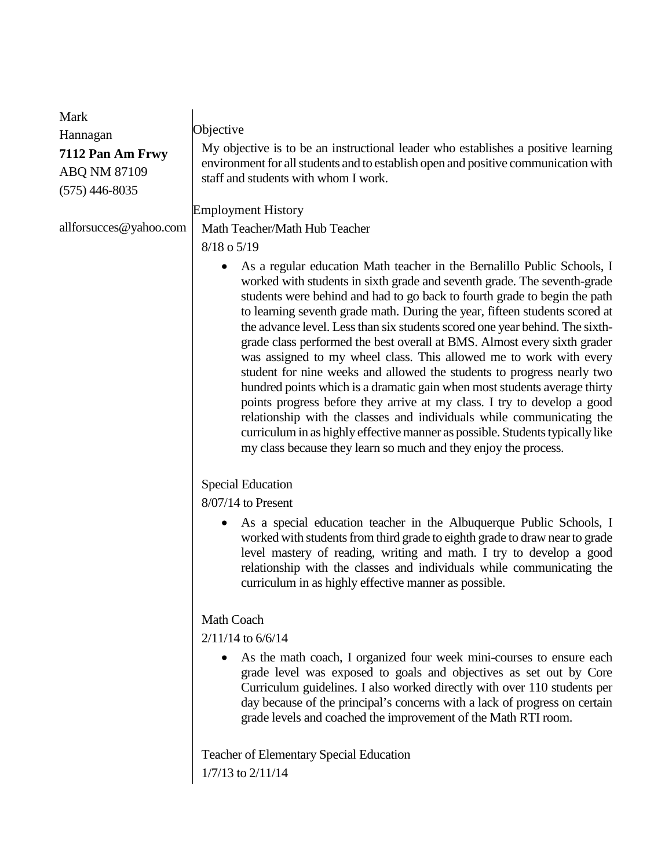| Mark                   |                                                                                                                                                                                                                                                                                                                                                                                                                                                                                                                                                                                                                                                                                                                                                                                                                                                                                                                                                                                                                  |
|------------------------|------------------------------------------------------------------------------------------------------------------------------------------------------------------------------------------------------------------------------------------------------------------------------------------------------------------------------------------------------------------------------------------------------------------------------------------------------------------------------------------------------------------------------------------------------------------------------------------------------------------------------------------------------------------------------------------------------------------------------------------------------------------------------------------------------------------------------------------------------------------------------------------------------------------------------------------------------------------------------------------------------------------|
| Hannagan               | Objective                                                                                                                                                                                                                                                                                                                                                                                                                                                                                                                                                                                                                                                                                                                                                                                                                                                                                                                                                                                                        |
| 7112 Pan Am Frwy       | My objective is to be an instructional leader who establishes a positive learning                                                                                                                                                                                                                                                                                                                                                                                                                                                                                                                                                                                                                                                                                                                                                                                                                                                                                                                                |
| ABQ NM 87109           | environment for all students and to establish open and positive communication with                                                                                                                                                                                                                                                                                                                                                                                                                                                                                                                                                                                                                                                                                                                                                                                                                                                                                                                               |
| $(575)$ 446-8035       | staff and students with whom I work.                                                                                                                                                                                                                                                                                                                                                                                                                                                                                                                                                                                                                                                                                                                                                                                                                                                                                                                                                                             |
|                        | <b>Employment History</b>                                                                                                                                                                                                                                                                                                                                                                                                                                                                                                                                                                                                                                                                                                                                                                                                                                                                                                                                                                                        |
| allforsucces@yahoo.com | Math Teacher/Math Hub Teacher                                                                                                                                                                                                                                                                                                                                                                                                                                                                                                                                                                                                                                                                                                                                                                                                                                                                                                                                                                                    |
|                        | 8/18 o 5/19                                                                                                                                                                                                                                                                                                                                                                                                                                                                                                                                                                                                                                                                                                                                                                                                                                                                                                                                                                                                      |
|                        | As a regular education Math teacher in the Bernalillo Public Schools, I<br>worked with students in sixth grade and seventh grade. The seventh-grade<br>students were behind and had to go back to fourth grade to begin the path<br>to learning seventh grade math. During the year, fifteen students scored at<br>the advance level. Less than six students scored one year behind. The sixth-<br>grade class performed the best overall at BMS. Almost every sixth grader<br>was assigned to my wheel class. This allowed me to work with every<br>student for nine weeks and allowed the students to progress nearly two<br>hundred points which is a dramatic gain when most students average thirty<br>points progress before they arrive at my class. I try to develop a good<br>relationship with the classes and individuals while communicating the<br>curriculum in as highly effective manner as possible. Students typically like<br>my class because they learn so much and they enjoy the process. |
|                        | <b>Special Education</b>                                                                                                                                                                                                                                                                                                                                                                                                                                                                                                                                                                                                                                                                                                                                                                                                                                                                                                                                                                                         |
|                        | $8/07/14$ to Present                                                                                                                                                                                                                                                                                                                                                                                                                                                                                                                                                                                                                                                                                                                                                                                                                                                                                                                                                                                             |
|                        | As a special education teacher in the Albuquerque Public Schools, I<br>$\bullet$<br>worked with students from third grade to eighth grade to draw near to grade<br>level mastery of reading, writing and math. I try to develop a good<br>relationship with the classes and individuals while communicating the<br>curriculum in as highly effective manner as possible.                                                                                                                                                                                                                                                                                                                                                                                                                                                                                                                                                                                                                                         |
|                        |                                                                                                                                                                                                                                                                                                                                                                                                                                                                                                                                                                                                                                                                                                                                                                                                                                                                                                                                                                                                                  |
|                        | <b>Math Coach</b><br>$2/11/14$ to $6/6/14$                                                                                                                                                                                                                                                                                                                                                                                                                                                                                                                                                                                                                                                                                                                                                                                                                                                                                                                                                                       |
|                        |                                                                                                                                                                                                                                                                                                                                                                                                                                                                                                                                                                                                                                                                                                                                                                                                                                                                                                                                                                                                                  |
|                        | As the math coach, I organized four week mini-courses to ensure each<br>grade level was exposed to goals and objectives as set out by Core<br>Curriculum guidelines. I also worked directly with over 110 students per<br>day because of the principal's concerns with a lack of progress on certain<br>grade levels and coached the improvement of the Math RTI room.                                                                                                                                                                                                                                                                                                                                                                                                                                                                                                                                                                                                                                           |
|                        | Teacher of Elementary Special Education<br>1/7/13 to 2/11/14                                                                                                                                                                                                                                                                                                                                                                                                                                                                                                                                                                                                                                                                                                                                                                                                                                                                                                                                                     |
|                        |                                                                                                                                                                                                                                                                                                                                                                                                                                                                                                                                                                                                                                                                                                                                                                                                                                                                                                                                                                                                                  |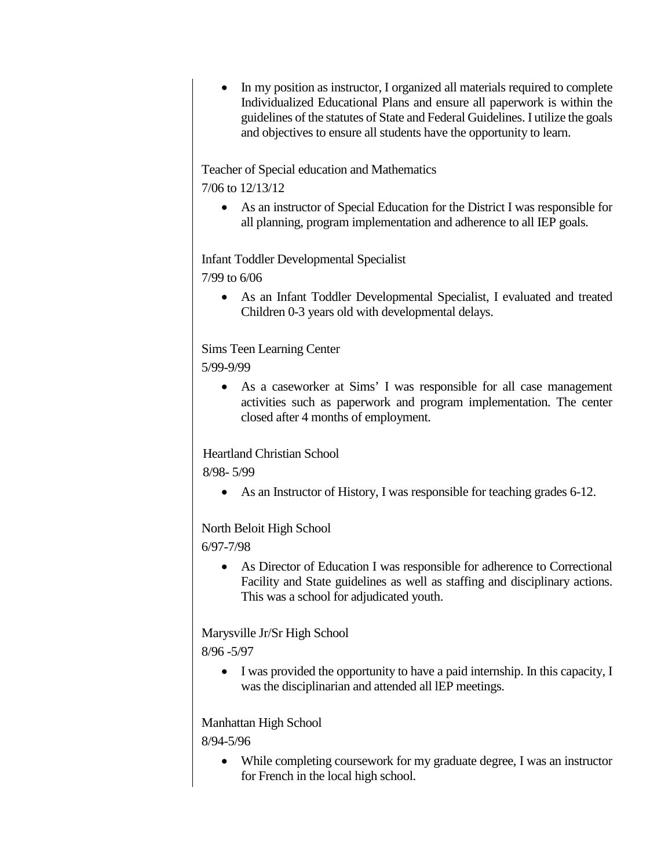• In my position as instructor, I organized all materials required to complete Individualized Educational Plans and ensure all paperwork is within the guidelines of the statutes of State and Federal Guidelines. I utilize the goals and objectives to ensure all students have the opportunity to learn.

Teacher of Special education and Mathematics 7/06 to 12/13/12

• As an instructor of Special Education for the District I was responsible for all planning, program implementation and adherence to all IEP goals.

Infant Toddler Developmental Specialist 7/99 to 6/06

> • As an Infant Toddler Developmental Specialist, I evaluated and treated Children 0-3 years old with developmental delays.

Sims Teen Learning Center 5/99-9/99

> • As a caseworker at Sims' I was responsible for all case management activities such as paperwork and program implementation. The center closed after 4 months of employment.

Heartland Christian School

8/98- 5/99

• As an Instructor of History, I was responsible for teaching grades 6-12.

## North Beloit High School

6/97-7/98

• As Director of Education I was responsible for adherence to Correctional Facility and State guidelines as well as staffing and disciplinary actions. This was a school for adjudicated youth.

Marysville Jr/Sr High School

8/96 -5/97

• I was provided the opportunity to have a paid internship. In this capacity, I was the disciplinarian and attended all lEP meetings.

Manhattan High School

8/94-5/96

• While completing coursework for my graduate degree, I was an instructor for French in the local high school.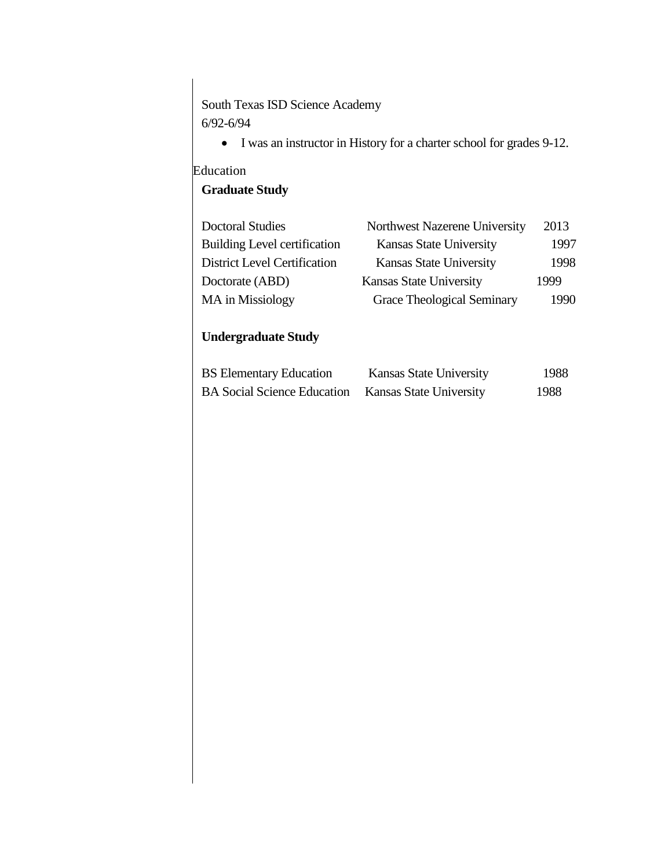South Texas ISD Science Academy 6/92-6/94

• I was an instructor in History for a charter school for grades 9-12.

# Education

# **Graduate Study**

| Northwest Nazerene University  | 2013 |
|--------------------------------|------|
| <b>Kansas State University</b> | 1997 |
| <b>Kansas State University</b> | 1998 |
| <b>Kansas State University</b> | 1999 |
| Grace Theological Seminary     | 1990 |
|                                |      |

# **Undergraduate Study**

| <b>BS</b> Elementary Education     | Kansas State University        | 1988 |
|------------------------------------|--------------------------------|------|
| <b>BA</b> Social Science Education | <b>Kansas State University</b> | 1988 |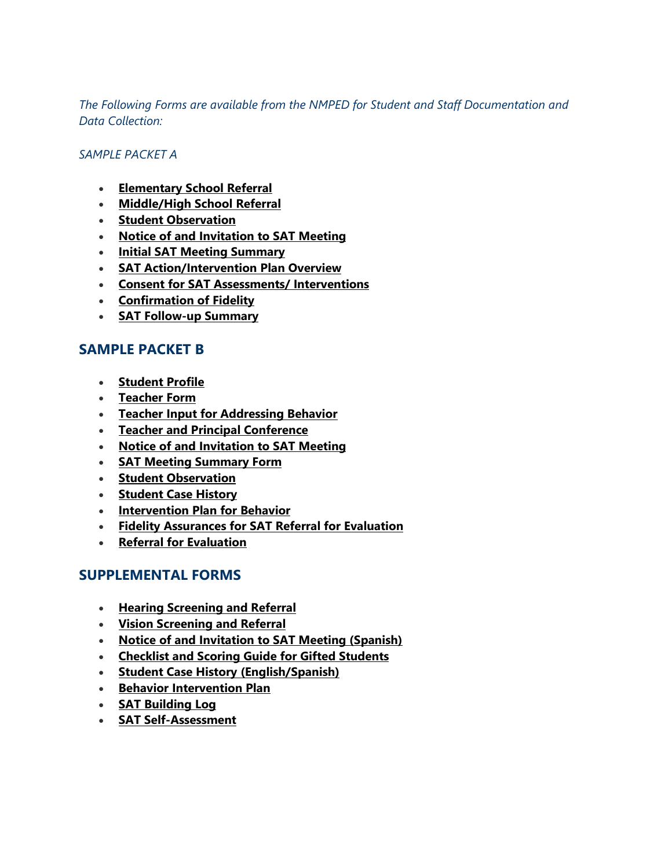*The Following Forms are available from the NMPED for Student and Staff Documentation and Data Collection:*

### *SAMPLE PACKET A*

- **[Elementary School Referral](https://webnew.ped.state.nm.us/wp-content/uploads/2018/03/Elementary-School-Referral-Form.docx)**
- **[Middle/High School Referral](https://webnew.ped.state.nm.us/wp-content/uploads/2018/03/Middle-and-High-School-Referral-Form.docx)**
- **[Student Observation](https://webnew.ped.state.nm.us/wp-content/uploads/2018/03/Student-Observation.docx)**
- **[Notice of and Invitation to SAT Meeting](https://webnew.ped.state.nm.us/wp-content/uploads/2018/03/Notice-of-and-Invitation-to-SAT-Meeting.docx)**
- **[Initial SAT Meeting Summary](https://webnew.ped.state.nm.us/wp-content/uploads/2018/03/Initial-SAT-Meeting-Summary.docx)**
- **[SAT Action/Intervention Plan Overview](https://webnew.ped.state.nm.us/wp-content/uploads/2018/03/SAT-Action-Intervention-Plan.docx)**
- **[Consent for SAT Assessments/ Interventions](https://webnew.ped.state.nm.us/wp-content/uploads/2018/03/Consent-for-SAT-Assessments-and-Interventions.docx)**
- **[Confirmation of Fidelity](https://webnew.ped.state.nm.us/wp-content/uploads/2018/03/Confirmation-of-Fidelity.docx)**
- **[SAT Follow-up Summary](https://webnew.ped.state.nm.us/wp-content/uploads/2018/03/SAT-Follow-Up-Meeting-Summary.docx)**

# **SAMPLE PACKET B**

- **[Student Profile](https://webnew.ped.state.nm.us/wp-content/uploads/2018/03/Student-Profile-Form.doc)**
- **[Teacher Form](https://webnew.ped.state.nm.us/wp-content/uploads/2018/03/Teacher-Form.doc)**
- **[Teacher Input for Addressing Behavior](https://webnew.ped.state.nm.us/wp-content/uploads/2018/03/Teacher-Input-Addressing-Behavior.doc)**
- **[Teacher and Principal Conference](https://webnew.ped.state.nm.us/wp-content/uploads/2018/03/Teacher-Principal-Conference-Form.doc)**
- **[Notice of and Invitation to SAT Meeting](https://webnew.ped.state.nm.us/wp-content/uploads/2018/03/Notice-of-and-Invitation-to-SAT-Meeting-1.docx)**
- **[SAT Meeting Summary Form](https://webnew.ped.state.nm.us/wp-content/uploads/2018/03/SAT-Meeting-Summary-Form.doc)**
- **[Student Observation](https://webnew.ped.state.nm.us/wp-content/uploads/2018/03/Student-Observation-Form.docx)**
- **[Student Case History](https://webnew.ped.state.nm.us/wp-content/uploads/2018/03/Student-Case-History.docx)**
- **[Intervention Plan for Behavior](https://webnew.ped.state.nm.us/wp-content/uploads/2018/03/Intervention-Plan-for-Behavior.docx)**
- **[Fidelity Assurances for SAT Referral for Evaluation](https://webnew.ped.state.nm.us/wp-content/uploads/2018/03/Fidelity-Assurance-SAT-Referral.docx)**
- **[Referral for Evaluation](https://webnew.ped.state.nm.us/wp-content/uploads/2018/03/Referral-for-Evaluation.docx)**

## **SUPPLEMENTAL FORMS**

- **[Hearing Screening and Referral](https://webnew.ped.state.nm.us/wp-content/uploads/2018/03/Hearing-Screening-Form.doc)**
- **[Vision Screening and Referral](https://webnew.ped.state.nm.us/wp-content/uploads/2018/03/Vision-Screening-Form.doc)**
- **[Notice of and Invitation to SAT Meeting \(Spanish\)](https://webnew.ped.state.nm.us/wp-content/uploads/2018/03/Invitation-to-SAT-Spanish.docx)**
- **[Checklist and Scoring Guide for](https://webnew.ped.state.nm.us/wp-content/uploads/2018/03/Checklist-and-Scoring-Guide-for-Gifteed-Students.docx) Gifted Students**
- **[Student Case History \(English/Spanish\)](https://webnew.ped.state.nm.us/wp-content/uploads/2018/03/Student-Case-History-Spanish.docx)**
- **[Behavior Intervention Plan](https://webnew.ped.state.nm.us/wp-content/uploads/2018/03/Behavior-Intervention-Plan.docx)**
- **[SAT Building Log](https://webnew.ped.state.nm.us/wp-content/uploads/2018/03/SAT-Building-Log.doc)**
- **[SAT Self-Assessment](https://webnew.ped.state.nm.us/wp-content/uploads/2018/03/SAT-Self-Assessment.docx)**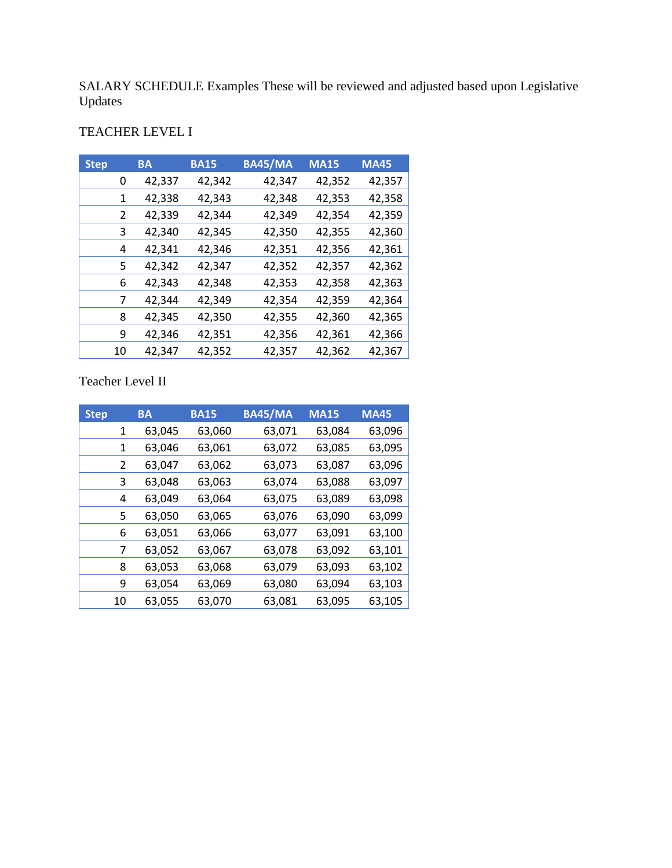SALARY SCHEDULE Examples These will be reviewed and adjusted based upon Legislative Updates

# TEACHER LEVEL I

| <b>Step</b> |    | <b>BA</b> | <b>BA15</b> | <b>BA45/MA</b> | <b>MA15</b> | <b>MA45</b> |
|-------------|----|-----------|-------------|----------------|-------------|-------------|
|             | 0  | 42,337    | 42,342      | 42,347         | 42,352      | 42,357      |
|             | 1  | 42,338    | 42,343      | 42,348         | 42,353      | 42,358      |
|             | 2  | 42,339    | 42,344      | 42,349         | 42,354      | 42,359      |
|             | 3  | 42,340    | 42,345      | 42,350         | 42,355      | 42,360      |
|             | 4  | 42,341    | 42,346      | 42,351         | 42,356      | 42,361      |
|             | 5. | 42,342    | 42,347      | 42,352         | 42,357      | 42,362      |
|             | 6  | 42,343    | 42,348      | 42,353         | 42,358      | 42,363      |
|             | 7  | 42,344    | 42,349      | 42,354         | 42,359      | 42,364      |
|             | 8  | 42,345    | 42,350      | 42,355         | 42,360      | 42,365      |
|             | 9  | 42,346    | 42,351      | 42,356         | 42,361      | 42,366      |
|             | 10 | 42,347    | 42,352      | 42,357         | 42,362      | 42,367      |

Teacher Level II

| <b>Step</b> |    | <b>BA</b> | <b>BA15</b> | <b>BA45/MA</b> | <b>MA15</b> | <b>MA45</b> |
|-------------|----|-----------|-------------|----------------|-------------|-------------|
|             | 1  | 63,045    | 63,060      | 63,071         | 63,084      | 63,096      |
|             | 1  | 63,046    | 63,061      | 63,072         | 63,085      | 63,095      |
|             | 2  | 63,047    | 63,062      | 63,073         | 63,087      | 63,096      |
|             | 3  | 63,048    | 63,063      | 63,074         | 63,088      | 63,097      |
|             | 4  | 63,049    | 63,064      | 63,075         | 63,089      | 63,098      |
|             | 5  | 63,050    | 63,065      | 63,076         | 63,090      | 63,099      |
|             | 6  | 63,051    | 63,066      | 63,077         | 63,091      | 63,100      |
|             | 7  | 63,052    | 63,067      | 63,078         | 63,092      | 63,101      |
|             | 8  | 63,053    | 63,068      | 63,079         | 63,093      | 63,102      |
|             | 9  | 63,054    | 63,069      | 63,080         | 63,094      | 63,103      |
|             | 10 | 63,055    | 63,070      | 63,081         | 63,095      | 63,105      |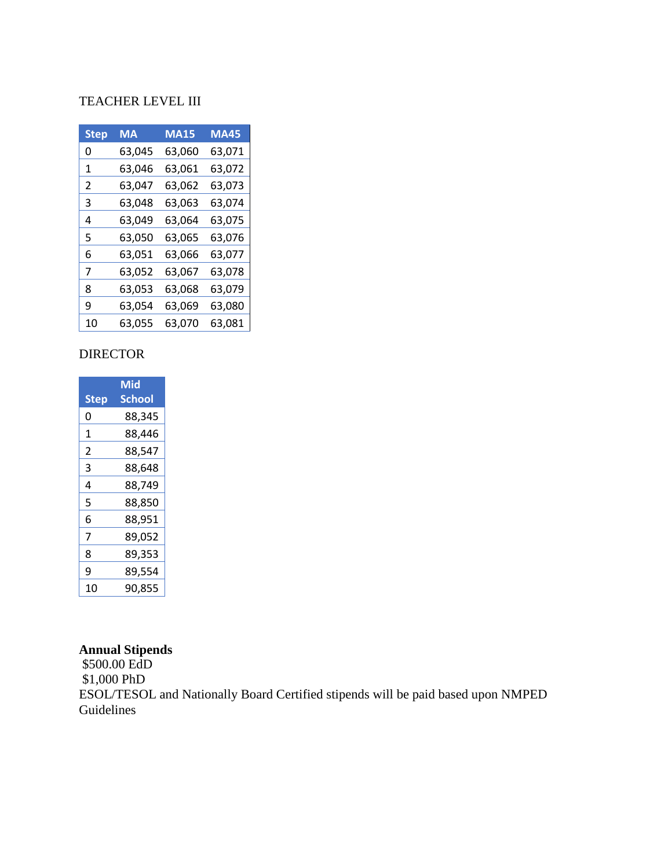## TEACHER LEVEL III

| Step | MA     | <b>MA15</b> | <b>MA45</b> |
|------|--------|-------------|-------------|
| 0    | 63,045 | 63,060      | 63,071      |
| 1    | 63,046 | 63,061      | 63,072      |
| 2    | 63,047 | 63,062      | 63,073      |
| 3    | 63,048 | 63,063      | 63,074      |
| 4    | 63,049 | 63,064      | 63,075      |
| 5    | 63,050 | 63,065      | 63,076      |
| 6    | 63,051 | 63,066      | 63,077      |
| 7    | 63,052 | 63,067      | 63,078      |
| 8    | 63,053 | 63,068      | 63,079      |
| 9    | 63,054 | 63,069      | 63,080      |
| 10   | 63,055 | 63,070      | 63,081      |

### DIRECTOR

|                | Mid           |
|----------------|---------------|
| <b>Step</b>    | <b>School</b> |
| 0              | 88,345        |
| 1              | 88,446        |
| $\mathfrak{p}$ | 88,547        |
| 3              | 88,648        |
| 4              | 88,749        |
| 5              | 88,850        |
| 6              | 88,951        |
| 7              | 89,052        |
| 8              | 89,353        |
| 9              | 89,554        |
| 10             | 90,855        |

# **Annual Stipends**

\$500.00 EdD \$1,000 PhD ESOL/TESOL and Nationally Board Certified stipends will be paid based upon NMPED Guidelines